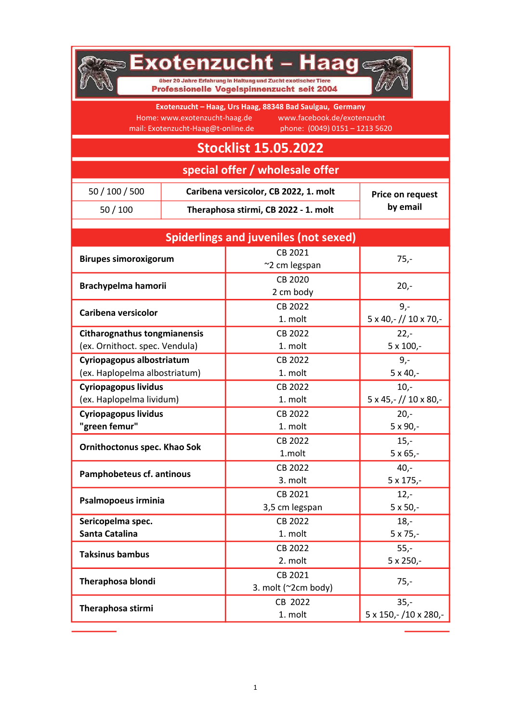

## **BExotenzucht – Haag**

über 20 Jahre Erfahrung in Haltung und Zucht exotischer Tiere Professionelle Vogelspinnenzucht seit 2004



Exotenzucht – Haag, Urs Haag, 88348 Bad Saulgau, Germany Home: www.exotenzucht-haag.de www.facebook.de/exotenzucht mail: Exotenzucht-Haag@t-online.de phone: (0049) 0151 - 1213 5620

## Stocklist 15.05.2022

special offer / wholesale offer

| 50 / 100 / 500 | Caribena versicolor, CB 2022, 1. molt | Price on request |
|----------------|---------------------------------------|------------------|
| 50/100         | Theraphosa stirmi, CB 2022 - 1. molt  | by email         |

| <b>Spiderlings and juveniles (not sexed)</b> |                          |                                         |  |  |
|----------------------------------------------|--------------------------|-----------------------------------------|--|--|
| <b>Birupes simoroxigorum</b>                 | CB 2021<br>~2 cm legspan | $75,-$                                  |  |  |
|                                              | CB 2020                  |                                         |  |  |
| Brachypelma hamorii                          | 2 cm body                | $20 -$                                  |  |  |
|                                              | CB 2022                  | $9 -$                                   |  |  |
| Caribena versicolor                          | 1. molt                  | 5 x 40, - // 10 x 70, -                 |  |  |
| <b>Citharognathus tongmianensis</b>          | CB 2022                  | $22 -$                                  |  |  |
| (ex. Ornithoct. spec. Vendula)               | 1. molt                  | $5 \times 100$ ,-                       |  |  |
| Cyriopagopus albostriatum                    | CB 2022                  | $9,-$                                   |  |  |
| (ex. Haplopelma albostriatum)                | 1. molt                  | $5 \times 40$ ,-                        |  |  |
| <b>Cyriopagopus lividus</b>                  | CB 2022                  | $10,-$                                  |  |  |
| (ex. Haplopelma lividum)                     | 1. molt                  | $5 \times 45$ , - // 10 $\times 80$ , - |  |  |
| <b>Cyriopagopus lividus</b>                  | CB 2022                  | $20 -$                                  |  |  |
| "green femur"                                | 1. molt                  | $5 \times 90$ ,-                        |  |  |
| Ornithoctonus spec. Khao Sok                 | CB 2022                  | $15,-$                                  |  |  |
|                                              | 1.molt                   | $5 \times 65$ ,-                        |  |  |
| Pamphobeteus cf. antinous                    | CB 2022                  | $40,-$                                  |  |  |
|                                              | 3. molt                  | 5 x 175,-                               |  |  |
| Psalmopoeus irminia                          | CB 2021                  | $12,-$                                  |  |  |
|                                              | 3,5 cm legspan           | $5 \times 50,-$                         |  |  |
| Sericopelma spec.                            | CB 2022                  | $18,-$                                  |  |  |
| Santa Catalina                               | 1. molt                  | $5 \times 75,-$                         |  |  |
| <b>Taksinus bambus</b>                       | CB 2022                  | $55,-$                                  |  |  |
|                                              | 2. molt                  | 5 x 250,-                               |  |  |
| <b>Theraphosa blondi</b>                     | CB 2021                  | $75,-$                                  |  |  |
|                                              | 3. molt (~2cm body)      |                                         |  |  |
| Theraphosa stirmi                            | CB 2022                  | $35 -$                                  |  |  |
|                                              | 1. molt                  | 5 x 150,-/10 x 280,-                    |  |  |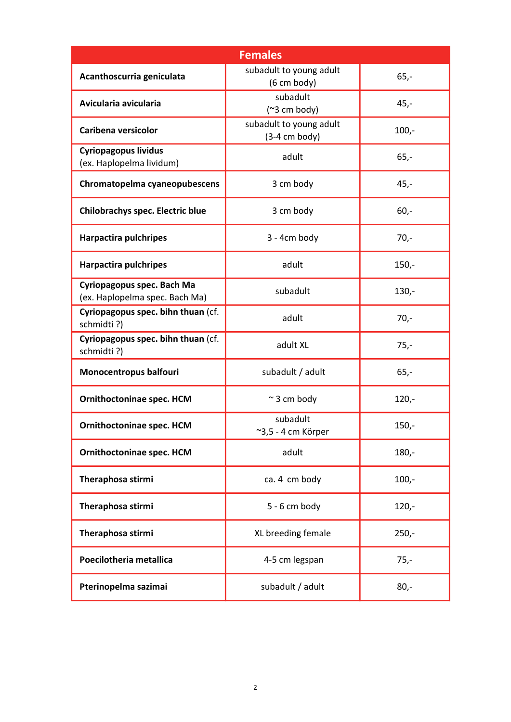| <b>Females</b>                                               |                                                  |         |  |  |
|--------------------------------------------------------------|--------------------------------------------------|---------|--|--|
| Acanthoscurria geniculata                                    | subadult to young adult<br>$(6 \text{ cm body})$ | $65,-$  |  |  |
| Avicularia avicularia                                        | subadult<br>$(^{2}3 cm body)$                    | $45,-$  |  |  |
| Caribena versicolor                                          | subadult to young adult<br>$(3-4 cm body)$       | $100,-$ |  |  |
| <b>Cyriopagopus lividus</b><br>(ex. Haplopelma lividum)      | adult                                            | $65,-$  |  |  |
| Chromatopelma cyaneopubescens                                | 3 cm body                                        | $45,-$  |  |  |
| <b>Chilobrachys spec. Electric blue</b>                      | 3 cm body                                        | $60,-$  |  |  |
| <b>Harpactira pulchripes</b>                                 | 3 - 4cm body                                     | $70,-$  |  |  |
| <b>Harpactira pulchripes</b>                                 | adult                                            | $150,-$ |  |  |
| Cyriopagopus spec. Bach Ma<br>(ex. Haplopelma spec. Bach Ma) | subadult                                         | $130 -$ |  |  |
| Cyriopagopus spec. bihn thuan (cf.<br>schmidti?)             | adult                                            | $70,-$  |  |  |
| Cyriopagopus spec. bihn thuan (cf.<br>schmidti?)             | adult XL                                         | $75,-$  |  |  |
| Monocentropus balfouri                                       | subadult / adult                                 | $65,-$  |  |  |
| Ornithoctoninae spec. HCM                                    | $\sim$ 3 cm body                                 | $120 -$ |  |  |
| <b>Ornithoctoninae spec. HCM</b>                             | subadult<br>~3,5 - 4 cm Körper                   | $150,-$ |  |  |
| Ornithoctoninae spec. HCM                                    | adult                                            | $180 -$ |  |  |
| Theraphosa stirmi                                            | ca. 4 cm body                                    | $100,-$ |  |  |
| Theraphosa stirmi                                            | $5 - 6$ cm body                                  | $120 -$ |  |  |
| Theraphosa stirmi                                            | XL breeding female                               | $250 -$ |  |  |
| Poecilotheria metallica                                      | 4-5 cm legspan                                   | $75,-$  |  |  |
| Pterinopelma sazimai                                         | subadult / adult                                 | $80,-$  |  |  |